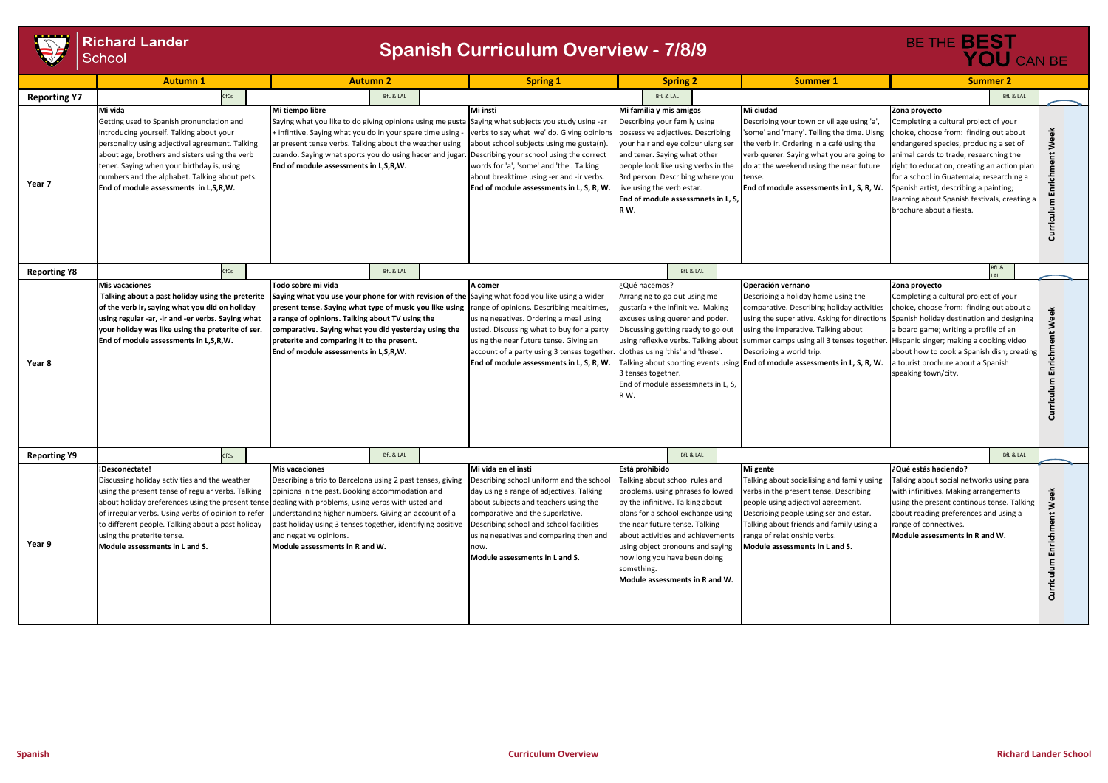

|                     | <b>Richard Lander</b><br>School                                                                                                                                                                                                                                                                                                                       | <b>Spanish Curriculum Overview - 7/8/9</b>                                                                                                                                                                                                                                                                                                                                                                                  | BE THE <b>BEST</b><br>YOU CAN BE                                                                                                                                                                                                                                                                                        |                                                                                                                                                                                                                                                                                                                                                          |                                                                                                                                                                                                                                                                                                                                                                                     |                                                                                                                                                                                                                                                                                                                                                                                                       |                               |
|---------------------|-------------------------------------------------------------------------------------------------------------------------------------------------------------------------------------------------------------------------------------------------------------------------------------------------------------------------------------------------------|-----------------------------------------------------------------------------------------------------------------------------------------------------------------------------------------------------------------------------------------------------------------------------------------------------------------------------------------------------------------------------------------------------------------------------|-------------------------------------------------------------------------------------------------------------------------------------------------------------------------------------------------------------------------------------------------------------------------------------------------------------------------|----------------------------------------------------------------------------------------------------------------------------------------------------------------------------------------------------------------------------------------------------------------------------------------------------------------------------------------------------------|-------------------------------------------------------------------------------------------------------------------------------------------------------------------------------------------------------------------------------------------------------------------------------------------------------------------------------------------------------------------------------------|-------------------------------------------------------------------------------------------------------------------------------------------------------------------------------------------------------------------------------------------------------------------------------------------------------------------------------------------------------------------------------------------------------|-------------------------------|
|                     | <b>Autumn1</b>                                                                                                                                                                                                                                                                                                                                        | <b>Autumn 2</b>                                                                                                                                                                                                                                                                                                                                                                                                             | <b>Spring 1</b>                                                                                                                                                                                                                                                                                                         | <b>Spring 2</b>                                                                                                                                                                                                                                                                                                                                          | <b>Summer 1</b>                                                                                                                                                                                                                                                                                                                                                                     | <b>Summer 2</b>                                                                                                                                                                                                                                                                                                                                                                                       |                               |
| <b>Reporting Y7</b> | CfCs                                                                                                                                                                                                                                                                                                                                                  | <b>BfL &amp; LAL</b>                                                                                                                                                                                                                                                                                                                                                                                                        |                                                                                                                                                                                                                                                                                                                         | <b>BfL &amp; LAL</b>                                                                                                                                                                                                                                                                                                                                     |                                                                                                                                                                                                                                                                                                                                                                                     | <b>BfL &amp; LAL</b>                                                                                                                                                                                                                                                                                                                                                                                  |                               |
| Year 7              | Mi vida<br>Getting used to Spanish pronunciation and<br>introducing yourself. Talking about your<br>personality using adjectival agreement. Talking<br>about age, brothers and sisters using the verb<br>tener. Saying when your birthday is, using<br>numbers and the alphabet. Talking about pets.<br>End of module assessments in L,S,R,W.         | Mi tiempo libre<br>Saying what you like to do giving opinions using me gusta Saying what subjects you study using -ar<br>+ infintive. Saying what you do in your spare time using - verbs to say what 'we' do. Giving opinions<br>ar present tense verbs. Talking about the weather using<br>cuando. Saying what sports you do using hacer and jugar.<br>End of module assessments in L,S,R,W.                              | Mi insti<br>about school subjects using me gusta(n).<br>. Describing your school using the correct<br>words for 'a', 'some' and 'the'. Talking<br>about breaktime using -er and -ir verbs.<br>End of module assessments in L, S, R, W.                                                                                  | Mi familia y mis amigos<br>Describing your family using<br>possessive adjectives. Describing<br>your hair and eye colour uisng ser<br>and tener. Saying what other<br>people look like using verbs in the<br>3rd person. Describing where you<br>live using the verb estar.<br>End of module assessmnets in L, S,<br>RW.                                 | Mi ciudad<br>Describing your town or village using 'a',<br>'some' and 'many'. Telling the time. Uisng<br>the verb ir. Ordering in a café using the<br>verb querer. Saying what you are going to<br>do at the weekend using the near future<br>tense.<br>End of module assessments in L, S, R, W.                                                                                    | Zona proyecto<br>Completing a cultural project of your<br>choice, choose from: finding out about<br>endangered species, producing a set of<br>animal cards to trade; researching the<br>right to education, creating an action plan<br>for a school in Guatemala; researching a<br>Spanish artist, describing a painting;<br>learning about Spanish festivals, creating a<br>brochure about a fiesta. | Enrichment Week<br>Curriculum |
| <b>Reporting Y8</b> | CfCs                                                                                                                                                                                                                                                                                                                                                  | <b>BfL &amp; LAL</b>                                                                                                                                                                                                                                                                                                                                                                                                        |                                                                                                                                                                                                                                                                                                                         | <b>BfL &amp; LAL</b>                                                                                                                                                                                                                                                                                                                                     |                                                                                                                                                                                                                                                                                                                                                                                     | BfL &                                                                                                                                                                                                                                                                                                                                                                                                 |                               |
| Year 8              | <b>Mis vacaciones</b><br>Talking about a past holiday using the preterite<br>of the verb ir, saying what you did on holiday<br>using regular -ar, -ir and -er verbs. Saying what<br>your holiday was like using the preterite of ser.<br>End of module assessments in L,S,R,W.                                                                        | Todo sobre mi vida<br>Saying what you use your phone for with revision of the Saying what food you like using a wider<br>present tense. Saying what type of music you like using range of opinions. Describing mealtimes,<br>a range of opinions. Talking about TV using the<br>comparative. Saying what you did yesterday using the<br>preterite and comparing it to the present.<br>End of module assessments in L,S,R,W. | A comer<br>using negatives. Ordering a meal using<br>usted. Discussing what to buy for a party<br>using the near future tense. Giving an<br>account of a party using 3 tenses together.<br>End of module assessments in L, S, R, W.                                                                                     | ¿Qué hacemos?<br>Arranging to go out using me<br>gustaría + the infinitive. Making<br>excuses using querer and poder.<br>Discussing getting ready to go out<br>clothes using 'this' and 'these'.<br>3 tenses together.<br>End of module assessmnets in L, S,<br>R W.                                                                                     | Operación vernano<br>Describing a holiday home using the<br>comparative. Describing holiday activities<br>using the imperative. Talking about<br>using reflexive verbs. Talking about summer camps using all 3 tenses together. Hispanic singer; making a cooking video<br>Describing a world trip.<br>Talking about sporting events using End of module assessments in L, S, R, W. | Zona provecto<br>Completing a cultural project of your<br>choice, choose from: finding out about a<br>using the superlative. Asking for directions Spanish holiday destination and designing<br>a board game; writing a profile of an<br>about how to cook a Spanish dish; creating<br>a tourist brochure about a Spanish<br>speaking town/city.                                                      | Week<br>Curriculum Enrichment |
| <b>Reporting Y9</b> | CfCs                                                                                                                                                                                                                                                                                                                                                  | <b>BfL &amp; LAL</b>                                                                                                                                                                                                                                                                                                                                                                                                        |                                                                                                                                                                                                                                                                                                                         | <b>BfL &amp; LAL</b>                                                                                                                                                                                                                                                                                                                                     |                                                                                                                                                                                                                                                                                                                                                                                     | <b>BfL &amp; LAL</b>                                                                                                                                                                                                                                                                                                                                                                                  |                               |
| Year 9              | ¡Desconéctate!<br>Discussing holiday activities and the weather<br>using the present tense of regular verbs. Talking<br>about holiday preferences using the present tense<br>of irregular verbs. Using verbs of opinion to refer<br>to different people. Talking about a past holiday<br>using the preterite tense.<br>Module assessments in L and S. | Mis vacaciones<br>Describing a trip to Barcelona using 2 past tenses, giving<br>opinions in the past. Booking accommodation and<br>dealing with problems, using verbs with usted and<br>understanding higher numbers. Giving an account of a<br>past holiday using 3 tenses together, identifying positive<br>and negative opinions.<br>Module assessments in R and W.                                                      | Mi vida en el insti<br>Describing school uniform and the school<br>day using a range of adjectives. Talking<br>about subjects and teachers using the<br>comparative and the superlative.<br>Describing school and school facilities<br>using negatives and comparing then and<br>now.<br>Module assessments in L and S. | Está prohibido<br>Talking about school rules and<br>problems, using phrases followed<br>by the infinitive. Talking about<br>plans for a school exchange using<br>the near future tense. Talking<br>about activities and achievements<br>using object pronouns and saying<br>how long you have been doing<br>something.<br>Module assessments in R and W. | Mi gente<br>Talking about socialising and family using<br>verbs in the present tense. Describing<br>people using adjectival agreement.<br>Describing people using ser and estar.<br>Talking about friends and family using a<br>range of relationship verbs.<br>Module assessments in L and S.                                                                                      | ¿Qué estás haciendo?<br>Talking about social networks using para<br>with infinitives. Making arrangements<br>using the present continous tense. Talking<br>about reading preferences and using a<br>range of connectives.<br>Module assessments in R and W.                                                                                                                                           | Enrichment Week<br>Curriculum |